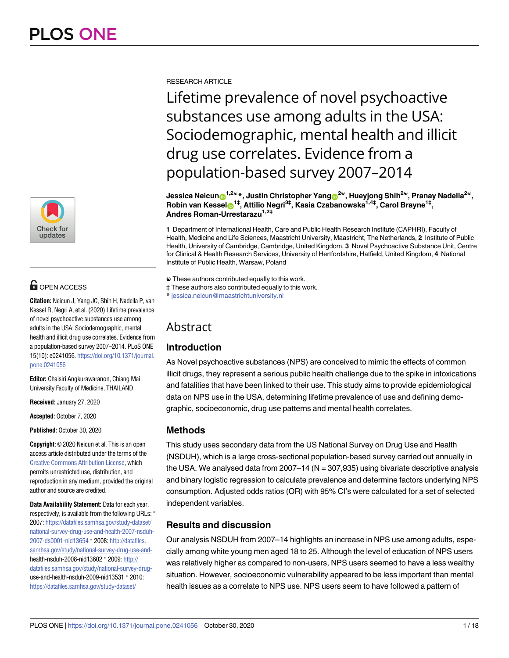

# **OPEN ACCESS**

**Citation:** Neicun J, Yang JC, Shih H, Nadella P, van Kessel R, Negri A, et al. (2020) Lifetime prevalence of novel psychoactive substances use among adults in the USA: Sociodemographic, mental health and illicit drug use correlates. Evidence from a population-based survey 2007–2014. PLoS ONE 15(10): e0241056. [https://doi.org/10.1371/journal.](https://doi.org/10.1371/journal.pone.0241056) [pone.0241056](https://doi.org/10.1371/journal.pone.0241056)

**Editor:** Chaisiri Angkurawaranon, Chiang Mai University Faculty of Medicine, THAILAND

**Received:** January 27, 2020

**Accepted:** October 7, 2020

**Published:** October 30, 2020

**Copyright:** © 2020 Neicun et al. This is an open access article distributed under the terms of the Creative Commons [Attribution](http://creativecommons.org/licenses/by/4.0/) License, which permits unrestricted use, distribution, and reproduction in any medium, provided the original author and source are credited.

**Data Availability Statement:** Data for each year, respectively, is available from the following URLs:  $*$ 2007: [https://datafiles.samhsa.gov/study-dataset/](https://datafiles.samhsa.gov/study-dataset/national-survey-drug-use-and-health-2007-nsduh-2007-ds0001-nid13654) [national-survey-drug-use-and-health-2007-nsduh-](https://datafiles.samhsa.gov/study-dataset/national-survey-drug-use-and-health-2007-nsduh-2007-ds0001-nid13654)[2007-ds0001-nid13654](https://datafiles.samhsa.gov/study-dataset/national-survey-drug-use-and-health-2007-nsduh-2007-ds0001-nid13654) � 2008: [http://datafiles.](http://datafiles.samhsa.gov/study/national-survey-drug-use-and-) [samhsa.gov/study/national-survey-drug-use-and](http://datafiles.samhsa.gov/study/national-survey-drug-use-and-)health-nsduh-2008-nid13602 � 2009: [http://](http://datafiles.samhsa.gov/study/national-survey-drug-) [datafiles.samhsa.gov/study/national-survey-drug](http://datafiles.samhsa.gov/study/national-survey-drug-)use-and-health-nsduh-2009-nid13531 � 2010: [https://datafiles.samhsa.gov/study-dataset/](https://datafiles.samhsa.gov/study-dataset/national-survey-drug-use-and-health-2010-nsduh-2010-ds0001-nid13727)

RESEARCH ARTICLE

Lifetime prevalence of novel psychoactive substances use among adults in the USA: Sociodemographic, mental health and illicit drug use correlates. Evidence from a population-based survey 2007–2014

 $I$  Jessica Neicun $\theta^{1,2\omega}$ <sup>\*</sup>, Justin Christopher Yang $\theta^{2\omega}$ , Hueyjong Shih<sup>2</sup>®, Pranay Nadella<sup>2</sup>®, **Robin van Kessel<sup>®1‡</sup>, Attilio Negri<sup>3‡</sup>, Kasia Czabanowska<sup>1,4‡</sup>, Carol Brayne<sup>1‡</sup>, Andres Roman-Urrestarazu<sup>1,2‡</sup>** 

**1** Department of International Health, Care and Public Health Research Institute (CAPHRI), Faculty of Health, Medicine and Life Sciences, Maastricht University, Maastricht, The Netherlands, **2** Institute of Public Health, University of Cambridge, Cambridge, United Kingdom, **3** Novel Psychoactive Substance Unit, Centre for Clinical & Health Research Services, University of Hertfordshire, Hatfield, United Kingdom, **4** National Institute of Public Health, Warsaw, Poland

☯ These authors contributed equally to this work.

‡ These authors also contributed equally to this work.

\* jessica.neicun@maastrichtuniversity.nl

# Abstract

# **Introduction**

As Novel psychoactive substances (NPS) are conceived to mimic the effects of common illicit drugs, they represent a serious public health challenge due to the spike in intoxications and fatalities that have been linked to their use. This study aims to provide epidemiological data on NPS use in the USA, determining lifetime prevalence of use and defining demographic, socioeconomic, drug use patterns and mental health correlates.

# **Methods**

This study uses secondary data from the US National Survey on Drug Use and Health (NSDUH), which is a large cross-sectional population-based survey carried out annually in the USA. We analysed data from  $2007-14$  (N = 307,935) using bivariate descriptive analysis and binary logistic regression to calculate prevalence and determine factors underlying NPS consumption. Adjusted odds ratios (OR) with 95% CI's were calculated for a set of selected independent variables.

# **Results and discussion**

Our analysis NSDUH from 2007–14 highlights an increase in NPS use among adults, especially among white young men aged 18 to 25. Although the level of education of NPS users was relatively higher as compared to non-users, NPS users seemed to have a less wealthy situation. However, socioeconomic vulnerability appeared to be less important than mental health issues as a correlate to NPS use. NPS users seem to have followed a pattern of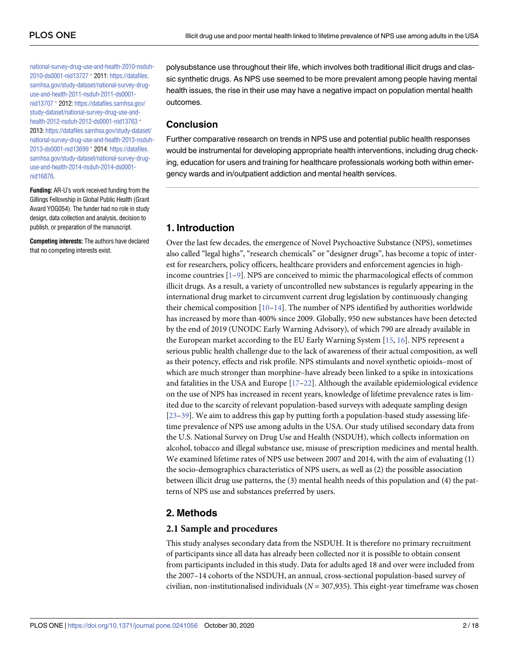<span id="page-1-0"></span>[national-survey-drug-use-and-health-2010-nsduh-](https://datafiles.samhsa.gov/study-dataset/national-survey-drug-use-and-health-2010-nsduh-2010-ds0001-nid13727)[2010-ds0001-nid13727](https://datafiles.samhsa.gov/study-dataset/national-survey-drug-use-and-health-2010-nsduh-2010-ds0001-nid13727) � 2011: [https://datafiles.](https://datafiles.samhsa.gov/study-dataset/national-survey-drug-use-and-health-2011-nsduh-2011-ds0001-nid13707) [samhsa.gov/study-dataset/national-survey-drug](https://datafiles.samhsa.gov/study-dataset/national-survey-drug-use-and-health-2011-nsduh-2011-ds0001-nid13707)[use-and-health-2011-nsduh-2011-ds0001](https://datafiles.samhsa.gov/study-dataset/national-survey-drug-use-and-health-2011-nsduh-2011-ds0001-nid13707) [nid13707](https://datafiles.samhsa.gov/study-dataset/national-survey-drug-use-and-health-2011-nsduh-2011-ds0001-nid13707) � 2012: [https://datafiles.samhsa.gov/](https://datafiles.samhsa.gov/study-dataset/national-survey-drug-use-and-health-2012-nsduh-2012-ds0001-nid13763) [study-dataset/national-survey-drug-use-and](https://datafiles.samhsa.gov/study-dataset/national-survey-drug-use-and-health-2012-nsduh-2012-ds0001-nid13763)[health-2012-nsduh-2012-ds0001-nid13763](https://datafiles.samhsa.gov/study-dataset/national-survey-drug-use-and-health-2012-nsduh-2012-ds0001-nid13763)  $*$ 2013: [https://datafiles.samhsa.gov/study-dataset/](https://datafiles.samhsa.gov/study-dataset/national-survey-drug-use-and-health-2013-nsduh-2013-ds0001-nid13699) [national-survey-drug-use-and-health-2013-nsduh-](https://datafiles.samhsa.gov/study-dataset/national-survey-drug-use-and-health-2013-nsduh-2013-ds0001-nid13699)[2013-ds0001-nid13699](https://datafiles.samhsa.gov/study-dataset/national-survey-drug-use-and-health-2013-nsduh-2013-ds0001-nid13699) � 2014: [https://datafiles.](https://datafiles.samhsa.gov/study-dataset/national-survey-drug-use-and-health-2014-nsduh-2014-ds0001-nid16876) [samhsa.gov/study-dataset/national-survey-drug](https://datafiles.samhsa.gov/study-dataset/national-survey-drug-use-and-health-2014-nsduh-2014-ds0001-nid16876)[use-and-health-2014-nsduh-2014-ds0001](https://datafiles.samhsa.gov/study-dataset/national-survey-drug-use-and-health-2014-nsduh-2014-ds0001-nid16876) [nid16876](https://datafiles.samhsa.gov/study-dataset/national-survey-drug-use-and-health-2014-nsduh-2014-ds0001-nid16876).

**Funding:** AR-U's work received funding from the Gillings Fellowship in Global Public Health (Grant Award YOG054). The funder had no role in study design, data collection and analysis, decision to publish, or preparation of the manuscript.

**Competing interests:** The authors have declared that no competing interests exist.

polysubstance use throughout their life, which involves both traditional illicit drugs and classic synthetic drugs. As NPS use seemed to be more prevalent among people having mental health issues, the rise in their use may have a negative impact on population mental health outcomes.

# **Conclusion**

Further comparative research on trends in NPS use and potential public health responses would be instrumental for developing appropriate health interventions, including drug checking, education for users and training for healthcare professionals working both within emergency wards and in/outpatient addiction and mental health services.

# **1. Introduction**

Over the last few decades, the emergence of Novel Psychoactive Substance (NPS), sometimes also called "legal highs", "research chemicals" or "designer drugs", has become a topic of interest for researchers, policy officers, healthcare providers and enforcement agencies in highincome countries [[1–9\]](#page-14-0). NPS are conceived to mimic the pharmacological effects of common illicit drugs. As a result, a variety of uncontrolled new substances is regularly appearing in the international drug market to circumvent current drug legislation by continuously changing their chemical composition  $[10-14]$ . The number of NPS identified by authorities worldwide has increased by more than 400% since 2009. Globally, 950 new substances have been detected by the end of 2019 (UNODC Early Warning Advisory), of which 790 are already available in the European market according to the EU Early Warning System [[15](#page-14-0), [16](#page-14-0)]. NPS represent a serious public health challenge due to the lack of awareness of their actual composition, as well as their potency, effects and risk profile. NPS stimulants and novel synthetic opioids–most of which are much stronger than morphine–have already been linked to a spike in intoxications and fatalities in the USA and Europe  $[17-22]$  $[17-22]$  $[17-22]$  $[17-22]$ . Although the available epidemiological evidence on the use of NPS has increased in recent years, knowledge of lifetime prevalence rates is limited due to the scarcity of relevant population-based surveys with adequate sampling design [\[23](#page-15-0)[–39\]](#page-16-0). We aim to address this gap by putting forth a population-based study assessing lifetime prevalence of NPS use among adults in the USA. Our study utilised secondary data from the U.S. National Survey on Drug Use and Health (NSDUH), which collects information on alcohol, tobacco and illegal substance use, misuse of prescription medicines and mental health. We examined lifetime rates of NPS use between 2007 and 2014, with the aim of evaluating (1) the socio-demographics characteristics of NPS users, as well as (2) the possible association between illicit drug use patterns, the (3) mental health needs of this population and (4) the patterns of NPS use and substances preferred by users.

# **2. Methods**

## **2.1 Sample and procedures**

This study analyses secondary data from the NSDUH. It is therefore no primary recruitment of participants since all data has already been collected nor it is possible to obtain consent from participants included in this study. Data for adults aged 18 and over were included from the 2007–14 cohorts of the NSDUH, an annual, cross-sectional population-based survey of civilian, non-institutionalised individuals (*N* = 307,935). This eight-year timeframe was chosen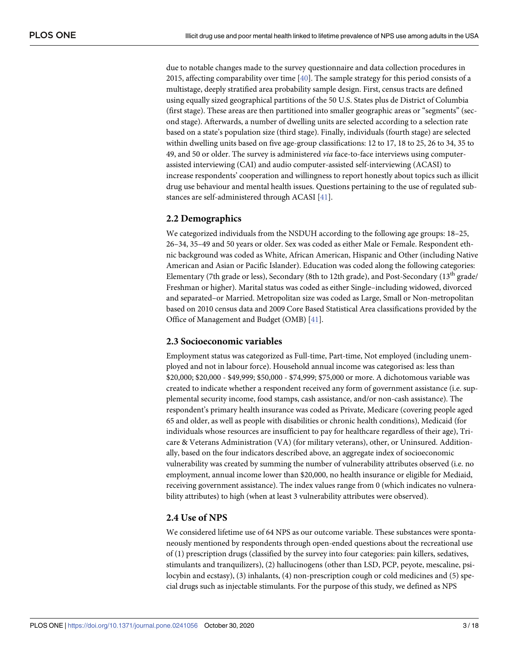<span id="page-2-0"></span>due to notable changes made to the survey questionnaire and data collection procedures in 2015, affecting comparability over time [\[40\]](#page-16-0). The sample strategy for this period consists of a multistage, deeply stratified area probability sample design. First, census tracts are defined using equally sized geographical partitions of the 50 U.S. States plus de District of Columbia (first stage). These areas are then partitioned into smaller geographic areas or "segments" (second stage). Afterwards, a number of dwelling units are selected according to a selection rate based on a state's population size (third stage). Finally, individuals (fourth stage) are selected within dwelling units based on five age-group classifications: 12 to 17, 18 to 25, 26 to 34, 35 to 49, and 50 or older. The survey is administered *via* face-to-face interviews using computerassisted interviewing (CAI) and audio computer-assisted self-interviewing (ACASI) to increase respondents' cooperation and willingness to report honestly about topics such as illicit drug use behaviour and mental health issues. Questions pertaining to the use of regulated substances are self-administered through ACASI [\[41\]](#page-16-0).

#### **2.2 Demographics**

We categorized individuals from the NSDUH according to the following age groups: 18–25, 26–34, 35–49 and 50 years or older. Sex was coded as either Male or Female. Respondent ethnic background was coded as White, African American, Hispanic and Other (including Native American and Asian or Pacific Islander). Education was coded along the following categories: Elementary (7th grade or less), Secondary (8th to 12th grade), and Post-Secondary (13<sup>th</sup> grade/ Freshman or higher). Marital status was coded as either Single–including widowed, divorced and separated–or Married. Metropolitan size was coded as Large, Small or Non-metropolitan based on 2010 census data and 2009 Core Based Statistical Area classifications provided by the Office of Management and Budget (OMB) [\[41\]](#page-16-0).

#### **2.3 Socioeconomic variables**

Employment status was categorized as Full-time, Part-time, Not employed (including unemployed and not in labour force). Household annual income was categorised as: less than \$20,000; \$20,000 - \$49,999; \$50,000 - \$74,999; \$75,000 or more. A dichotomous variable was created to indicate whether a respondent received any form of government assistance (i.e. supplemental security income, food stamps, cash assistance, and/or non-cash assistance). The respondent's primary health insurance was coded as Private, Medicare (covering people aged 65 and older, as well as people with disabilities or chronic health conditions), Medicaid (for individuals whose resources are insufficient to pay for healthcare regardless of their age), Tricare & Veterans Administration (VA) (for military veterans), other, or Uninsured. Additionally, based on the four indicators described above, an aggregate index of socioeconomic vulnerability was created by summing the number of vulnerability attributes observed (i.e. no employment, annual income lower than \$20,000, no health insurance or eligible for Mediaid, receiving government assistance). The index values range from 0 (which indicates no vulnerability attributes) to high (when at least 3 vulnerability attributes were observed).

## **2.4 Use of NPS**

We considered lifetime use of 64 NPS as our outcome variable. These substances were spontaneously mentioned by respondents through open-ended questions about the recreational use of (1) prescription drugs (classified by the survey into four categories: pain killers, sedatives, stimulants and tranquilizers), (2) hallucinogens (other than LSD, PCP, peyote, mescaline, psilocybin and ecstasy), (3) inhalants, (4) non-prescription cough or cold medicines and (5) special drugs such as injectable stimulants. For the purpose of this study, we defined as NPS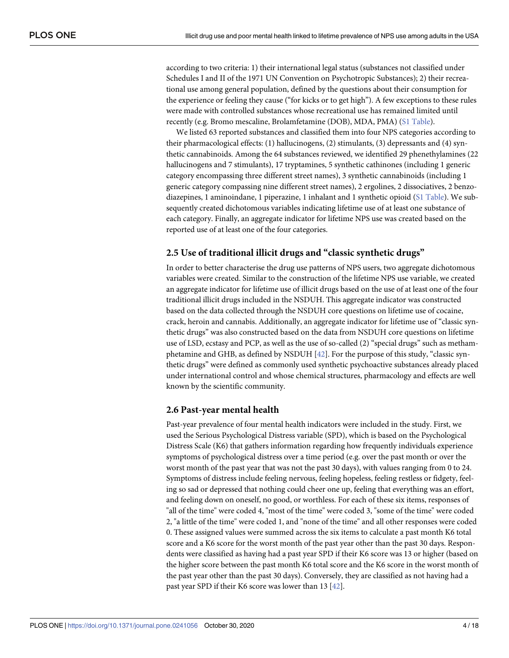<span id="page-3-0"></span>according to two criteria: 1) their international legal status (substances not classified under Schedules I and II of the 1971 UN Convention on Psychotropic Substances); 2) their recreational use among general population, defined by the questions about their consumption for the experience or feeling they cause ("for kicks or to get high"). A few exceptions to these rules were made with controlled substances whose recreational use has remained limited until recently (e.g. Bromo mescaline, Brolamfetamine (DOB), MDA, PMA) (S1 [Table\)](#page-13-0).

We listed 63 reported substances and classified them into four NPS categories according to their pharmacological effects: (1) hallucinogens, (2) stimulants, (3) depressants and (4) synthetic cannabinoids. Among the 64 substances reviewed, we identified 29 phenethylamines (22 hallucinogens and 7 stimulants), 17 tryptamines, 5 synthetic cathinones (including 1 generic category encompassing three different street names), 3 synthetic cannabinoids (including 1 generic category compassing nine different street names), 2 ergolines, 2 dissociatives, 2 benzodiazepines, 1 aminoindane, 1 piperazine, 1 inhalant and 1 synthetic opioid (S1 [Table](#page-13-0)). We subsequently created dichotomous variables indicating lifetime use of at least one substance of each category. Finally, an aggregate indicator for lifetime NPS use was created based on the reported use of at least one of the four categories.

#### **2.5 Use of traditional illicit drugs and "classic synthetic drugs"**

In order to better characterise the drug use patterns of NPS users, two aggregate dichotomous variables were created. Similar to the construction of the lifetime NPS use variable, we created an aggregate indicator for lifetime use of illicit drugs based on the use of at least one of the four traditional illicit drugs included in the NSDUH. This aggregate indicator was constructed based on the data collected through the NSDUH core questions on lifetime use of cocaine, crack, heroin and cannabis. Additionally, an aggregate indicator for lifetime use of "classic synthetic drugs" was also constructed based on the data from NSDUH core questions on lifetime use of LSD, ecstasy and PCP, as well as the use of so-called (2) "special drugs" such as methamphetamine and GHB, as defined by NSDUH [[42](#page-16-0)]. For the purpose of this study, "classic synthetic drugs" were defined as commonly used synthetic psychoactive substances already placed under international control and whose chemical structures, pharmacology and effects are well known by the scientific community.

#### **2.6 Past-year mental health**

Past-year prevalence of four mental health indicators were included in the study. First, we used the Serious Psychological Distress variable (SPD), which is based on the Psychological Distress Scale (K6) that gathers information regarding how frequently individuals experience symptoms of psychological distress over a time period (e.g. over the past month or over the worst month of the past year that was not the past 30 days), with values ranging from 0 to 24. Symptoms of distress include feeling nervous, feeling hopeless, feeling restless or fidgety, feeling so sad or depressed that nothing could cheer one up, feeling that everything was an effort, and feeling down on oneself, no good, or worthless. For each of these six items, responses of "all of the time" were coded 4, "most of the time" were coded 3, "some of the time" were coded 2, "a little of the time" were coded 1, and "none of the time" and all other responses were coded 0. These assigned values were summed across the six items to calculate a past month K6 total score and a K6 score for the worst month of the past year other than the past 30 days. Respondents were classified as having had a past year SPD if their K6 score was 13 or higher (based on the higher score between the past month K6 total score and the K6 score in the worst month of the past year other than the past 30 days). Conversely, they are classified as not having had a past year SPD if their K6 score was lower than 13 [[42](#page-16-0)].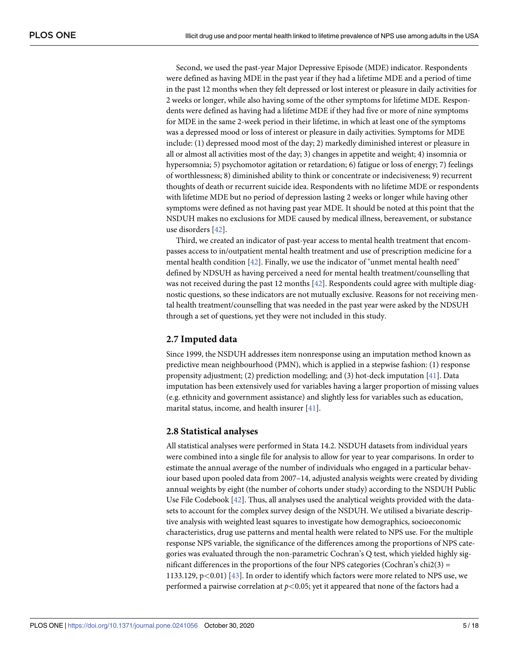<span id="page-4-0"></span>Second, we used the past-year Major Depressive Episode (MDE) indicator. Respondents were defined as having MDE in the past year if they had a lifetime MDE and a period of time in the past 12 months when they felt depressed or lost interest or pleasure in daily activities for 2 weeks or longer, while also having some of the other symptoms for lifetime MDE. Respondents were defined as having had a lifetime MDE if they had five or more of nine symptoms for MDE in the same 2-week period in their lifetime, in which at least one of the symptoms was a depressed mood or loss of interest or pleasure in daily activities. Symptoms for MDE include: (1) depressed mood most of the day; 2) markedly diminished interest or pleasure in all or almost all activities most of the day; 3) changes in appetite and weight; 4) insomnia or hypersomnia; 5) psychomotor agitation or retardation; 6) fatigue or loss of energy; 7) feelings of worthlessness; 8) diminished ability to think or concentrate or indecisiveness; 9) recurrent thoughts of death or recurrent suicide idea. Respondents with no lifetime MDE or respondents with lifetime MDE but no period of depression lasting 2 weeks or longer while having other symptoms were defined as not having past year MDE. It should be noted at this point that the NSDUH makes no exclusions for MDE caused by medical illness, bereavement, or substance use disorders [\[42\]](#page-16-0).

Third, we created an indicator of past-year access to mental health treatment that encompasses access to in/outpatient mental health treatment and use of prescription medicine for a mental health condition [\[42\]](#page-16-0). Finally, we use the indicator of "unmet mental health need" defined by NDSUH as having perceived a need for mental health treatment/counselling that was not received during the past 12 months [\[42\]](#page-16-0). Respondents could agree with multiple diagnostic questions, so these indicators are not mutually exclusive. Reasons for not receiving mental health treatment/counselling that was needed in the past year were asked by the NDSUH through a set of questions, yet they were not included in this study.

#### **2.7 Imputed data**

Since 1999, the NSDUH addresses item nonresponse using an imputation method known as predictive mean neighbourhood (PMN), which is applied in a stepwise fashion: (1) response propensity adjustment; (2) prediction modelling; and (3) hot-deck imputation [[41](#page-16-0)]. Data imputation has been extensively used for variables having a larger proportion of missing values (e.g. ethnicity and government assistance) and slightly less for variables such as education, marital status, income, and health insurer [[41](#page-16-0)].

#### **2.8 Statistical analyses**

All statistical analyses were performed in Stata 14.2. NSDUH datasets from individual years were combined into a single file for analysis to allow for year to year comparisons. In order to estimate the annual average of the number of individuals who engaged in a particular behaviour based upon pooled data from 2007–14, adjusted analysis weights were created by dividing annual weights by eight (the number of cohorts under study) according to the NSDUH Public Use File Codebook [\[42\]](#page-16-0). Thus, all analyses used the analytical weights provided with the datasets to account for the complex survey design of the NSDUH. We utilised a bivariate descriptive analysis with weighted least squares to investigate how demographics, socioeconomic characteristics, drug use patterns and mental health were related to NPS use. For the multiple response NPS variable, the significance of the differences among the proportions of NPS categories was evaluated through the non-parametric Cochran's Q test, which yielded highly significant differences in the proportions of the four NPS categories (Cochran's chi $2(3)$  = 1133.129, p*<*0.01) [\[43\]](#page-16-0). In order to identify which factors were more related to NPS use, we performed a pairwise correlation at *p<*0.05; yet it appeared that none of the factors had a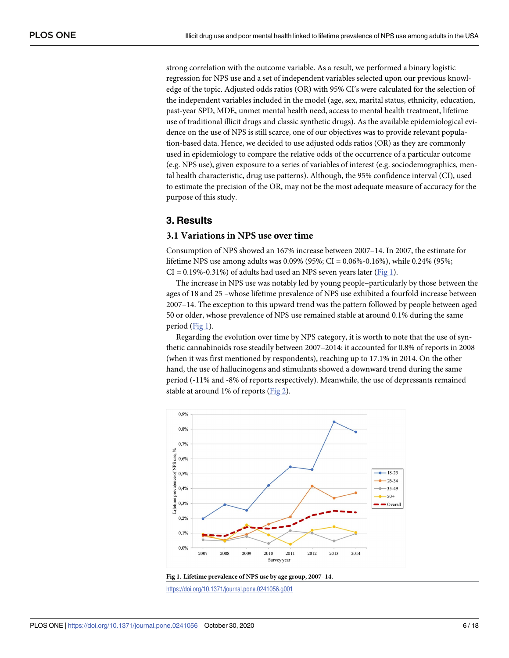<span id="page-5-0"></span>strong correlation with the outcome variable. As a result, we performed a binary logistic regression for NPS use and a set of independent variables selected upon our previous knowledge of the topic. Adjusted odds ratios (OR) with 95% CI's were calculated for the selection of the independent variables included in the model (age, sex, marital status, ethnicity, education, past-year SPD, MDE, unmet mental health need, access to mental health treatment, lifetime use of traditional illicit drugs and classic synthetic drugs). As the available epidemiological evidence on the use of NPS is still scarce, one of our objectives was to provide relevant population-based data. Hence, we decided to use adjusted odds ratios (OR) as they are commonly used in epidemiology to compare the relative odds of the occurrence of a particular outcome (e.g. NPS use), given exposure to a series of variables of interest (e.g. sociodemographics, mental health characteristic, drug use patterns). Although, the 95% confidence interval (CI), used to estimate the precision of the OR, may not be the most adequate measure of accuracy for the purpose of this study.

### **3. Results**

#### **3.1 Variations in NPS use over time**

Consumption of NPS showed an 167% increase between 2007–14. In 2007, the estimate for lifetime NPS use among adults was 0.09% (95%; CI = 0.06%-0.16%), while 0.24% (95%;  $CI = 0.19\% - 0.31\%$  of adults had used an NPS seven years later (Fig 1).

The increase in NPS use was notably led by young people–particularly by those between the ages of 18 and 25 –whose lifetime prevalence of NPS use exhibited a fourfold increase between 2007–14. The exception to this upward trend was the pattern followed by people between aged 50 or older, whose prevalence of NPS use remained stable at around 0.1% during the same period (Fig 1).

Regarding the evolution over time by NPS category, it is worth to note that the use of synthetic cannabinoids rose steadily between 2007–2014: it accounted for 0.8% of reports in 2008 (when it was first mentioned by respondents), reaching up to 17.1% in 2014. On the other hand, the use of hallucinogens and stimulants showed a downward trend during the same period (-11% and -8% of reports respectively). Meanwhile, the use of depressants remained stable at around 1% of reports ([Fig](#page-6-0) 2).





<https://doi.org/10.1371/journal.pone.0241056.g001>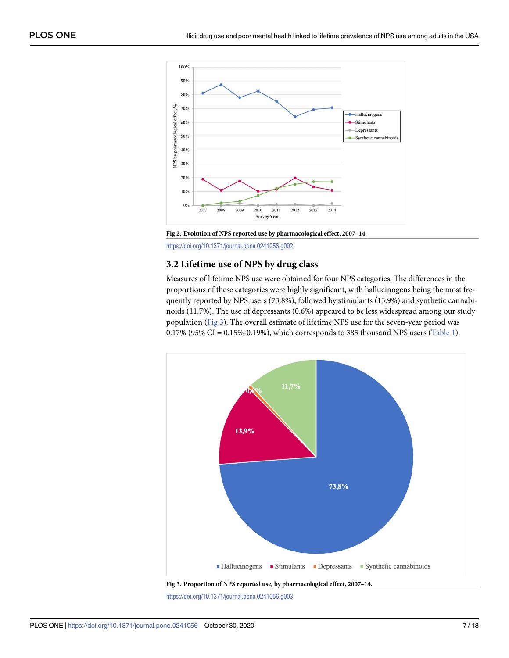<span id="page-6-0"></span>

**[Fig](#page-5-0) 2. Evolution of NPS reported use by pharmacological effect, 2007–14.**

<https://doi.org/10.1371/journal.pone.0241056.g002>

#### **3.2 Lifetime use of NPS by drug class**

Measures of lifetime NPS use were obtained for four NPS categories. The differences in the proportions of these categories were highly significant, with hallucinogens being the most frequently reported by NPS users (73.8%), followed by stimulants (13.9%) and synthetic cannabinoids (11.7%). The use of depressants (0.6%) appeared to be less widespread among our study population (Fig 3). The overall estimate of lifetime NPS use for the seven-year period was 0.17% (95% CI = 0.15%-0.19%), which corresponds to 385 thousand NPS users ([Table](#page-7-0) 1).



<https://doi.org/10.1371/journal.pone.0241056.g003>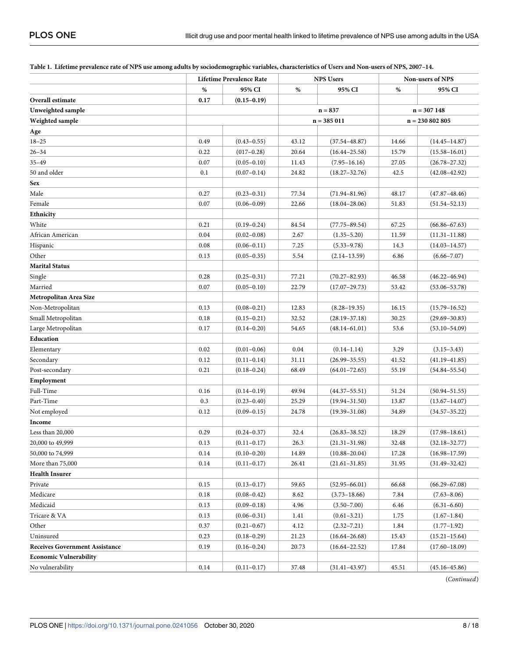|                                       | <b>Lifetime Prevalence Rate</b> |                 |           | <b>NPS Users</b>  | <b>Non-users of NPS</b> |                   |
|---------------------------------------|---------------------------------|-----------------|-----------|-------------------|-------------------------|-------------------|
|                                       | $\%$                            | 95% CI          | $\%$      | 95% CI            | %                       | 95% CI            |
| Overall estimate                      | 0.17                            | $(0.15 - 0.19)$ |           |                   |                         |                   |
| Unweighted sample                     |                                 |                 | $n = 837$ |                   | $n = 307148$            |                   |
| Weighted sample                       |                                 |                 |           | $n = 385011$      |                         | $n = 230802805$   |
| Age                                   |                                 |                 |           |                   |                         |                   |
| $18 - 25$                             | 0.49                            | $(0.43 - 0.55)$ | 43.12     | $(37.54 - 48.87)$ | 14.66                   | $(14.45 - 14.87)$ |
| $26 - 34$                             | 0.22                            | $(017-0.28)$    | 20.64     | $(16.44 - 25.58)$ | 15.79                   | $(15.58 - 16.01)$ |
| $35 - 49$                             | 0.07                            | $(0.05 - 0.10)$ | 11.43     | $(7.95 - 16.16)$  | 27.05                   | $(26.78 - 27.32)$ |
| 50 and older                          | 0.1                             | $(0.07 - 0.14)$ | 24.82     | $(18.27 - 32.76)$ | 42.5                    | $(42.08 - 42.92)$ |
| Sex                                   |                                 |                 |           |                   |                         |                   |
| Male                                  | 0.27                            | $(0.23 - 0.31)$ | 77.34     | $(71.94 - 81.96)$ | 48.17                   | $(47.87 - 48.46)$ |
| Female                                | 0.07                            | $(0.06 - 0.09)$ | 22.66     | $(18.04 - 28.06)$ | 51.83                   | $(51.54 - 52.13)$ |
| Ethnicity                             |                                 |                 |           |                   |                         |                   |
| White                                 | 0.21                            | $(0.19 - 0.24)$ | 84.54     | $(77.75 - 89.54)$ | 67.25                   | $(66.86 - 67.63)$ |
| African American                      | 0.04                            | $(0.02 - 0.08)$ | 2.67      | $(1.35 - 5.20)$   | 11.59                   | $(11.31 - 11.88)$ |
| Hispanic                              | 0.08                            | $(0.06 - 0.11)$ | 7.25      | $(5.33 - 9.78)$   | 14.3                    | $(14.03 - 14.57)$ |
| Other                                 | 0.13                            | $(0.05 - 0.35)$ | 5.54      | $(2.14 - 13.59)$  | 6.86                    | $(6.66 - 7.07)$   |
| <b>Marital Status</b>                 |                                 |                 |           |                   |                         |                   |
| Single                                | 0.28                            | $(0.25 - 0.31)$ | 77.21     | $(70.27 - 82.93)$ | 46.58                   | $(46.22 - 46.94)$ |
| Married                               | 0.07                            | $(0.05 - 0.10)$ | 22.79     | $(17.07 - 29.73)$ | 53.42                   | $(53.06 - 53.78)$ |
| Metropolitan Area Size                |                                 |                 |           |                   |                         |                   |
| Non-Metropolitan                      | 0.13                            | $(0.08 - 0.21)$ | 12.83     | $(8.28 - 19.35)$  | 16.15                   | $(15.79 - 16.52)$ |
| Small Metropolitan                    | 0.18                            | $(0.15 - 0.21)$ | 32.52     | $(28.19 - 37.18)$ | 30.25                   | $(29.69 - 30.83)$ |
| Large Metropolitan                    | 0.17                            | $(0.14 - 0.20)$ | 54.65     | $(48.14 - 61.01)$ | 53.6                    | $(53.10 - 54.09)$ |
| Education                             |                                 |                 |           |                   |                         |                   |
| Elementary                            | 0.02                            | $(0.01 - 0.06)$ | 0.04      | $(0.14 - 1.14)$   | 3.29                    | $(3.15 - 3.43)$   |
| Secondary                             | 0.12                            | $(0.11 - 0.14)$ | 31.11     | $(26.99 - 35.55)$ | 41.52                   | $(41.19 - 41.85)$ |
| Post-secondary                        | 0.21                            | $(0.18 - 0.24)$ | 68.49     | $(64.01 - 72.65)$ | 55.19                   | $(54.84 - 55.54)$ |
| Employment                            |                                 |                 |           |                   |                         |                   |
| Full-Time                             | 0.16                            | $(0.14 - 0.19)$ | 49.94     | $(44.37 - 55.51)$ | 51.24                   | $(50.94 - 51.55)$ |
| Part-Time                             | 0.3                             | $(0.23 - 0.40)$ | 25.29     | $(19.94 - 31.50)$ | 13.87                   | $(13.67 - 14.07)$ |
| Not employed                          | 0.12                            | $(0.09 - 0.15)$ | 24.78     | $(19.39 - 31.08)$ | 34.89                   | $(34.57 - 35.22)$ |
| Income                                |                                 |                 |           |                   |                         |                   |
| Less than 20,000                      | 0.29                            | $(0.24 - 0.37)$ | 32.4      | $(26.83 - 38.52)$ | 18.29                   | $(17.98 - 18.61)$ |
| 20,000 to 49,999                      | 0.13                            | $(0.11 - 0.17)$ | 26.3      | $(21.31 - 31.98)$ | 32.48                   | $(32.18 - 32.77)$ |
| 50,000 to 74,999                      | 0.14                            | $(0.10 - 0.20)$ | 14.89     | $(10.88 - 20.04)$ | 17.28                   | $(16.98 - 17.59)$ |
| More than 75,000                      | 0.14                            | $(0.11 - 0.17)$ | 26.41     | $(21.61 - 31.85)$ | 31.95                   | $(31.49 - 32.42)$ |
| <b>Health Insurer</b>                 |                                 |                 |           |                   |                         |                   |
| Private                               | 0.15                            | $(0.13 - 0.17)$ | 59.65     | $(52.95 - 66.01)$ | 66.68                   | $(66.29 - 67.08)$ |
| Medicare                              | 0.18                            | $(0.08 - 0.42)$ | 8.62      | $(3.73 - 18.66)$  | 7.84                    | $(7.63 - 8.06)$   |
| Medicaid                              | 0.13                            | $(0.09 - 0.18)$ | 4.96      | $(3.50 - 7.00)$   | 6.46                    | $(6.31 - 6.60)$   |
| Tricare & VA                          | 0.13                            | $(0.06 - 0.31)$ | 1.41      | $(0.61 - 3.21)$   | 1.75                    | $(1.67 - 1.84)$   |
| Other                                 | 0.37                            | $(0.21 - 0.67)$ | 4.12      | $(2.32 - 7.21)$   | 1.84                    | $(1.77-1.92)$     |
| Uninsured                             | 0.23                            | $(0.18 - 0.29)$ | 21.23     | $(16.64 - 26.68)$ | 15.43                   | $(15.21 - 15.64)$ |
| <b>Receives Government Assistance</b> | 0.19                            | $(0.16 - 0.24)$ | 20.73     | $(16.64 - 22.52)$ | 17.84                   | $(17.60 - 18.09)$ |
| <b>Economic Vulnerability</b>         |                                 |                 |           |                   |                         |                   |
| No vulnerability                      | 0.14                            | $(0.11 - 0.17)$ | 37.48     | $(31.41 - 43.97)$ | 45.51                   | $(45.16 - 45.86)$ |

#### <span id="page-7-0"></span>[Table](#page-6-0) 1. Lifetime prevalence rate of NPS use among adults by sociodemographic variables, characteristics of Users and Non-users of NPS, 2007-14.

(*Continued*)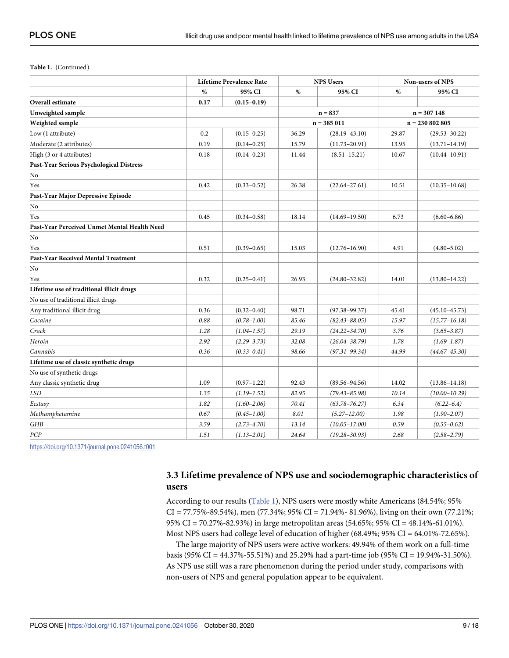**Table 1.** (Continued)

|                                              |      | <b>Lifetime Prevalence Rate</b> | <b>NPS Users</b> |                   | Non-users of NPS |                   |
|----------------------------------------------|------|---------------------------------|------------------|-------------------|------------------|-------------------|
|                                              | $\%$ | 95% CI                          | %                | 95% CI            | $\%$             | 95% CI            |
| Overall estimate                             | 0.17 | $(0.15 - 0.19)$                 |                  |                   |                  |                   |
| Unweighted sample                            |      |                                 | $n = 837$        |                   | $n = 307148$     |                   |
| Weighted sample                              |      |                                 | $n = 385011$     |                   | $n = 230802805$  |                   |
| Low (1 attribute)                            | 0.2  | $(0.15 - 0.25)$                 | 36.29            | $(28.19 - 43.10)$ | 29.87            | $(29.53 - 30.22)$ |
| Moderate (2 attributes)                      | 0.19 | $(0.14 - 0.25)$                 | 15.79            | $(11.73 - 20.91)$ | 13.95            | $(13.71 - 14.19)$ |
| High (3 or 4 attributes)                     | 0.18 | $(0.14 - 0.23)$                 | 11.44            | $(8.51 - 15.21)$  | 10.67            | $(10.44 - 10.91)$ |
| Past-Year Serious Psychological Distress     |      |                                 |                  |                   |                  |                   |
| No                                           |      |                                 |                  |                   |                  |                   |
| Yes                                          | 0.42 | $(0.33 - 0.52)$                 | 26.38            | $(22.64 - 27.61)$ | 10.51            | $(10.35 - 10.68)$ |
| Past-Year Major Depressive Episode           |      |                                 |                  |                   |                  |                   |
| No                                           |      |                                 |                  |                   |                  |                   |
| Yes                                          | 0.45 | $(0.34 - 0.58)$                 | 18.14            | $(14.69 - 19.50)$ | 6.73             | $(6.60 - 6.86)$   |
| Past-Year Perceived Unmet Mental Health Need |      |                                 |                  |                   |                  |                   |
| No                                           |      |                                 |                  |                   |                  |                   |
| Yes                                          | 0.51 | $(0.39 - 0.65)$                 | 15.03            | $(12.76 - 16.90)$ | 4.91             | $(4.80 - 5.02)$   |
| Past-Year Received Mental Treatment          |      |                                 |                  |                   |                  |                   |
| No                                           |      |                                 |                  |                   |                  |                   |
| Yes                                          | 0.32 | $(0.25 - 0.41)$                 | 26.93            | $(24.80 - 32.82)$ | 14.01            | $(13.80 - 14.22)$ |
| Lifetime use of traditional illicit drugs    |      |                                 |                  |                   |                  |                   |
| No use of traditional illicit drugs          |      |                                 |                  |                   |                  |                   |
| Any traditional illicit drug                 | 0.36 | $(0.32 - 0.40)$                 | 98.71            | $(97.38 - 99.37)$ | 45.41            | $(45.10 - 45.73)$ |
| Cocaine                                      | 0.88 | $(0.78 - 1.00)$                 | 85.46            | $(82.43 - 88.05)$ | 15.97            | $(15.77 - 16.18)$ |
| Crack                                        | 1.28 | $(1.04 - 1.57)$                 | 29.19            | $(24.22 - 34.70)$ | 3.76             | $(3.65 - 3.87)$   |
| Heroin                                       | 2.92 | $(2.29 - 3.73)$                 | 32.08            | $(26.04 - 38.79)$ | 1.78             | $(1.69 - 1.87)$   |
| Cannabis                                     | 0.36 | $(0.33 - 0.41)$                 | 98.66            | $(97.31 - 99.34)$ | 44.99            | $(44.67 - 45.30)$ |
| Lifetime use of classic synthetic drugs      |      |                                 |                  |                   |                  |                   |
| No use of synthetic drugs                    |      |                                 |                  |                   |                  |                   |
| Any classic synthetic drug                   | 1.09 | $(0.97 - 1.22)$                 | 92.43            | $(89.56 - 94.56)$ | 14.02            | $(13.86 - 14.18)$ |
| <b>LSD</b>                                   | 1.35 | $(1.19 - 1.52)$                 | 82.95            | $(79.43 - 85.98)$ | 10.14            | $(10.00 - 10.29)$ |
| Ecstasy                                      | 1.82 | $(1.60 - 2.06)$                 | 70.41            | $(63.78 - 76.27)$ | 6.34             | $(6.22 - 6.4)$    |
| Methamphetamine                              | 0.67 | $(0.45 - 1.00)$                 | 8.01             | $(5.27 - 12.00)$  | 1.98             | $(1.90 - 2.07)$   |
| GHB                                          | 3.59 | $(2.73 - 4.70)$                 | 13.14            | $(10.05 - 17.00)$ | 0.59             | $(0.55 - 0.62)$   |
| PCP                                          | 1.51 | $(1.13 - 2.01)$                 | 24.64            | $(19.28 - 30.93)$ | 2.68             | $(2.58 - 2.79)$   |

<https://doi.org/10.1371/journal.pone.0241056.t001>

# **3.3 Lifetime prevalence of NPS use and sociodemographic characteristics of users**

According to our results [\(Table](#page-7-0) 1), NPS users were mostly white Americans (84.54%; 95%  $CI = 77.75\% - 89.54\%$ , men (77.34%; 95%  $CI = 71.94\% - 81.96\%$ ), living on their own (77.21%; 95% CI = 70.27%-82.93%) in large metropolitan areas (54.65%; 95% CI = 48.14%-61.01%). Most NPS users had college level of education of higher (68.49%; 95% CI = 64.01%-72.65%).

The large majority of NPS users were active workers: 49.94% of them work on a full-time basis (95% CI = 44.37%-55.51%) and 25.29% had a part-time job (95% CI = 19.94%-31.50%). As NPS use still was a rare phenomenon during the period under study, comparisons with non-users of NPS and general population appear to be equivalent.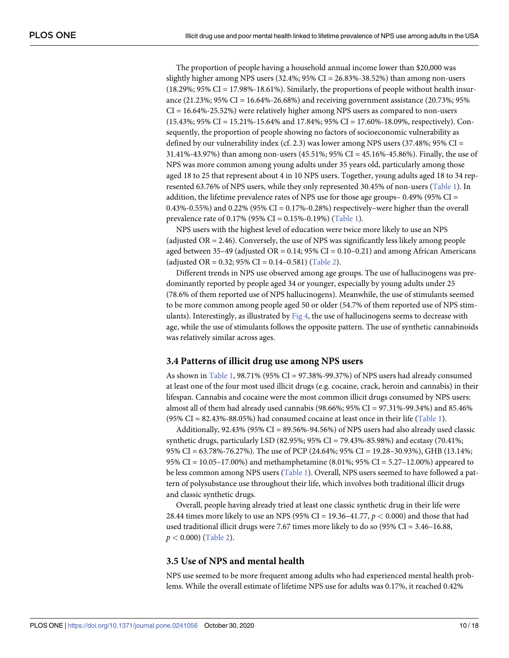<span id="page-9-0"></span>The proportion of people having a household annual income lower than \$20,000 was slightly higher among NPS users  $(32.4\%; 95\% \text{ CI} = 26.83\% - 38.52\%)$  than among non-users  $(18.29\%; 95\% \text{ CI} = 17.98\% \cdot 18.61\%)$ . Similarly, the proportions of people without health insurance (21.23%; 95% CI = 16.64%-26.68%) and receiving government assistance (20.73%; 95%  $CI = 16.64\% - 25.52\%)$  were relatively higher among NPS users as compared to non-users (15.43%; 95% CI = 15.21%-15.64% and 17.84%; 95% CI = 17.60%-18.09%, respectively). Consequently, the proportion of people showing no factors of socioeconomic vulnerability as defined by our vulnerability index (cf. 2.3) was lower among NPS users (37.48%; 95% CI = 31.41%-43.97%) than among non-users (45.51%; 95% CI = 45.16%-45.86%). Finally, the use of NPS was more common among young adults under 35 years old, particularly among those aged 18 to 25 that represent about 4 in 10 NPS users. Together, young adults aged 18 to 34 represented 63.76% of NPS users, while they only represented 30.45% of non-users ([Table](#page-7-0) 1). In addition, the lifetime prevalence rates of NPS use for those age groups–  $0.49\%$  (95% CI = 0.43%-0.55%) and 0.22% (95% CI = 0.17%-0.28%) respectively–were higher than the overall prevalence rate of 0.17% (95% CI = 0.15%-0.19%) [\(Table](#page-7-0) 1).

NPS users with the highest level of education were twice more likely to use an NPS (adjusted OR = 2.46). Conversely, the use of NPS was significantly less likely among people aged between 35–49 (adjusted  $OR = 0.14$ ; 95%  $CI = 0.10$ –0.21) and among African Americans (adjusted OR =  $0.32$ ; 95% CI =  $0.14 - 0.581$ ) ([Table](#page-10-0) 2).

Different trends in NPS use observed among age groups. The use of hallucinogens was predominantly reported by people aged 34 or younger, especially by young adults under 25 (78.6% of them reported use of NPS hallucinogens). Meanwhile, the use of stimulants seemed to be more common among people aged 50 or older (54.7% of them reported use of NPS stimulants). Interestingly, as illustrated by  $Fig 4$  $Fig 4$ , the use of hallucinogens seems to decrease with age, while the use of stimulants follows the opposite pattern. The use of synthetic cannabinoids was relatively similar across ages.

#### **3.4 Patterns of illicit drug use among NPS users**

As shown in [Table](#page-7-0) 1, 98.71% (95% CI = 97.38%-99.37%) of NPS users had already consumed at least one of the four most used illicit drugs (e.g. cocaine, crack, heroin and cannabis) in their lifespan. Cannabis and cocaine were the most common illicit drugs consumed by NPS users: almost all of them had already used cannabis (98.66%;  $95\%$  CI = 97.31%-99.34%) and 85.46%  $(95\% \text{ CI} = 82.43\% - 88.05\%)$  had consumed cocaine at least once in their life ([Table](#page-7-0) 1).

Additionally,  $92.43\%$  ( $95\%$  CI =  $89.56\%$ - $94.56\%$ ) of NPS users had also already used classic synthetic drugs, particularly LSD (82.95%; 95% CI = 79.43%-85.98%) and ecstasy (70.41%; 95% CI = 63.78%-76.27%). The use of PCP (24.64%; 95% CI = 19.28–30.93%), GHB (13.14%; 95% CI = 10.05–17.00%) and methamphetamine (8.01%; 95% CI = 5.27–12.00%) appeared to be less common among NPS users ([Table](#page-7-0) 1). Overall, NPS users seemed to have followed a pattern of polysubstance use throughout their life, which involves both traditional illicit drugs and classic synthetic drugs.

Overall, people having already tried at least one classic synthetic drug in their life were 28.44 times more likely to use an NPS (95% CI = 19.36–41.77, *p <* 0.000) and those that had used traditional illicit drugs were 7.67 times more likely to do so  $(95\% \text{ CI} = 3.46{\text -}16.88,$ *p <* 0.000) [\(Table](#page-10-0) 2).

#### **3.5 Use of NPS and mental health**

NPS use seemed to be more frequent among adults who had experienced mental health problems. While the overall estimate of lifetime NPS use for adults was 0.17%, it reached 0.42%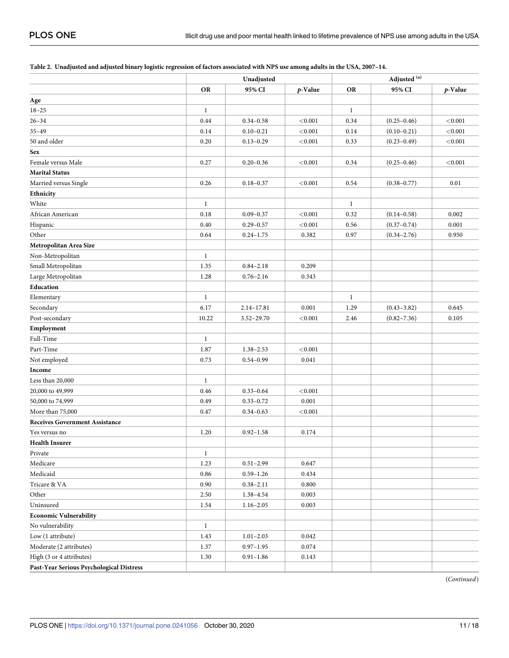|                                          | Unadjusted   |                |         | Adjusted <sup>(a)</sup> |                 |            |  |
|------------------------------------------|--------------|----------------|---------|-------------------------|-----------------|------------|--|
|                                          | <b>OR</b>    | 95% CI         | p-Value | <b>OR</b>               | 95% CI          | $p$ -Value |  |
| Age                                      |              |                |         |                         |                 |            |  |
| $18 - 25$                                | $\mathbf{1}$ |                |         | $\mathbf{1}$            |                 |            |  |
| $26 - 34$                                | 0.44         | $0.34 - 0.58$  | < 0.001 | 0.34                    | $(0.25 - 0.46)$ | < 0.001    |  |
| $35 - 49$                                | 0.14         | $0.10 - 0.21$  | < 0.001 | 0.14                    | $(0.10 - 0.21)$ | < 0.001    |  |
| 50 and older                             | 0.20         | $0.13 - 0.29$  | < 0.001 | 0.33                    | $(0.23 - 0.49)$ | < 0.001    |  |
| <b>Sex</b>                               |              |                |         |                         |                 |            |  |
| Female versus Male                       | 0.27         | $0.20 - 0.36$  | < 0.001 | 0.34                    | $(0.25 - 0.46)$ | < 0.001    |  |
| <b>Marital Status</b>                    |              |                |         |                         |                 |            |  |
| Married versus Single                    | 0.26         | $0.18 - 0.37$  | < 0.001 | 0.54                    | $(0.38 - 0.77)$ | 0.01       |  |
| Ethnicity                                |              |                |         |                         |                 |            |  |
| White                                    | $\mathbf{1}$ |                |         | $\mathbf{1}$            |                 |            |  |
| African American                         | 0.18         | $0.09 - 0.37$  | < 0.001 | 0.32                    | $(0.14 - 0.58)$ | 0.002      |  |
| Hispanic                                 | 0.40         | $0.29 - 0.57$  | < 0.001 | 0.56                    | $(0.37 - 0.74)$ | 0.001      |  |
| Other                                    | 0.64         | $0.24 - 1.75$  | 0.382   | 0.97                    | $(0.34 - 2.76)$ | 0.950      |  |
| Metropolitan Area Size                   |              |                |         |                         |                 |            |  |
| Non-Metropolitan                         | $\mathbf{1}$ |                |         |                         |                 |            |  |
| Small Metropolitan                       | 1.35         | $0.84 - 2.18$  | 0.209   |                         |                 |            |  |
| Large Metropolitan                       | 1.28         | $0.76 - 2.16$  | 0.343   |                         |                 |            |  |
| Education                                |              |                |         |                         |                 |            |  |
| Elementary                               | $\mathbf{1}$ |                |         | $\mathbf{1}$            |                 |            |  |
| Secondary                                | 6.17         | $2.14 - 17.81$ | 0.001   | 1.29                    | $(0.43 - 3.82)$ | 0.645      |  |
| Post-secondary                           | 10.22        | $3.52 - 29.70$ | < 0.001 | 2.46                    | $(0.82 - 7.36)$ | 0.105      |  |
| Employment                               |              |                |         |                         |                 |            |  |
| Full-Time                                | $\mathbf{1}$ |                |         |                         |                 |            |  |
| Part-Time                                | 1.87         | $1.38 - 2.53$  | < 0.001 |                         |                 |            |  |
| Not employed                             | 0.73         | $0.54 - 0.99$  | 0.041   |                         |                 |            |  |
| Income                                   |              |                |         |                         |                 |            |  |
| Less than 20,000                         | $\mathbf{1}$ |                |         |                         |                 |            |  |
| 20,000 to 49,999                         | 0.46         | $0.33 - 0.64$  | < 0.001 |                         |                 |            |  |
| 50,000 to 74,999                         | 0.49         | $0.33 - 0.72$  | 0.001   |                         |                 |            |  |
| More than 75,000                         | 0.47         | $0.34 - 0.63$  | < 0.001 |                         |                 |            |  |
| <b>Receives Government Assistance</b>    |              |                |         |                         |                 |            |  |
| Yes versus no                            | 1.20         | $0.92 - 1.58$  | 0.174   |                         |                 |            |  |
| <b>Health Insurer</b>                    |              |                |         |                         |                 |            |  |
| Private                                  | $\mathbf{1}$ |                |         |                         |                 |            |  |
| Medicare                                 | 1.23         | $0.51 - 2.99$  | 0.647   |                         |                 |            |  |
| Medicaid                                 | 0.86         | $0.59 - 1.26$  | 0.434   |                         |                 |            |  |
| Tricare & VA                             | 0.90         | $0.38 - 2.11$  | 0.800   |                         |                 |            |  |
| Other                                    | 2.50         | 1.38-4.54      | 0.003   |                         |                 |            |  |
| Uninsured                                | 1.54         | $1.16 - 2.05$  | 0.003   |                         |                 |            |  |
| <b>Economic Vulnerability</b>            |              |                |         |                         |                 |            |  |
| No vulnerability                         | $\mathbf{1}$ |                |         |                         |                 |            |  |
| Low (1 attribute)                        | 1.43         | $1.01 - 2.03$  | 0.042   |                         |                 |            |  |
| Moderate (2 attributes)                  | 1.37         | $0.97 - 1.95$  | 0.074   |                         |                 |            |  |
| High (3 or 4 attributes)                 | 1.30         | $0.91 - 1.86$  | 0.143   |                         |                 |            |  |
| Past-Year Serious Psychological Distress |              |                |         |                         |                 |            |  |

#### <span id="page-10-0"></span>[Table](#page-9-0) 2. Unadjusted and adjusted binary logistic regression of factors associated with NPS use among adults in the USA, 2007-14.

(*Continued*)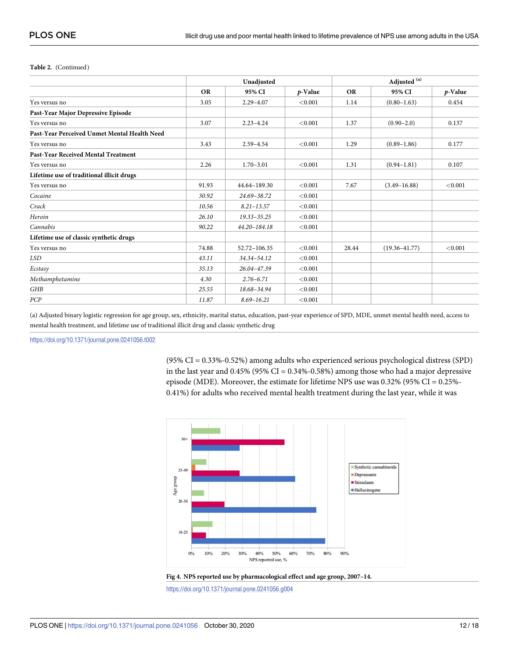#### <span id="page-11-0"></span>**Table 2.** (Continued)

|                                              | Unadjusted |                |         | Adjusted <sup>(a)</sup> |                   |         |  |
|----------------------------------------------|------------|----------------|---------|-------------------------|-------------------|---------|--|
|                                              | <b>OR</b>  | 95% CI         | p-Value | <b>OR</b>               | 95% CI            | p-Value |  |
| Yes versus no                                | 3.05       | $2.29 - 4.07$  | < 0.001 | 1.14                    | $(0.80 - 1.63)$   | 0.454   |  |
| Past-Year Major Depressive Episode           |            |                |         |                         |                   |         |  |
| Yes versus no                                | 3.07       | $2.23 - 4.24$  | < 0.001 | 1.37                    | $(0.90 - 2.0)$    | 0.137   |  |
| Past-Year Perceived Unmet Mental Health Need |            |                |         |                         |                   |         |  |
| Yes versus no                                | 3.43       | $2.59 - 4.54$  | < 0.001 | 1.29                    | $(0.89 - 1.86)$   | 0.177   |  |
| <b>Past-Year Received Mental Treatment</b>   |            |                |         |                         |                   |         |  |
| Yes versus no                                | 2.26       | $1.70 - 3.01$  | < 0.001 | 1.31                    | $(0.94 - 1.81)$   | 0.107   |  |
| Lifetime use of traditional illicit drugs    |            |                |         |                         |                   |         |  |
| Yes versus no                                | 91.93      | 44.64-189.30   | < 0.001 | 7.67                    | $(3.49 - 16.88)$  | < 0.001 |  |
| Cocaine                                      | 30.92      | 24.69-38.72    | < 0.001 |                         |                   |         |  |
| Crack                                        | 10.56      | $8.21 - 13.57$ | < 0.001 |                         |                   |         |  |
| Heroin                                       | 26.10      | 19.33-35.25    | < 0.001 |                         |                   |         |  |
| Cannabis                                     | 90.22      | 44.20-184.18   | < 0.001 |                         |                   |         |  |
| Lifetime use of classic synthetic drugs      |            |                |         |                         |                   |         |  |
| Yes versus no                                | 74.88      | 52.72-106.35   | < 0.001 | 28.44                   | $(19.36 - 41.77)$ | < 0.001 |  |
| LSD                                          | 43.11      | 34.34-54.12    | < 0.001 |                         |                   |         |  |
| Ecstasy                                      | 35.13      | 26.04-47.39    | < 0.001 |                         |                   |         |  |
| Methamphetamine                              | 4.30       | $2.76 - 6.71$  | < 0.001 |                         |                   |         |  |
| GHB                                          | 25.55      | 18.68-34.94    | < 0.001 |                         |                   |         |  |
| PCP                                          | 11.87      | $8.69 - 16.21$ | < 0.001 |                         |                   |         |  |

(a) Adjusted binary logistic regression for age group, sex, ethnicity, marital status, education, past-year experience of SPD, MDE, unmet mental health need, access to mental health treatment, and lifetime use of traditional illicit drug and classic synthetic drug

<https://doi.org/10.1371/journal.pone.0241056.t002>

(95% CI = 0.33%-0.52%) among adults who experienced serious psychological distress (SPD) in the last year and  $0.45\%$  (95% CI =  $0.34\%$ -0.58%) among those who had a major depressive episode (MDE). Moreover, the estimate for lifetime NPS use was 0.32% (95% CI = 0.25%- 0.41%) for adults who received mental health treatment during the last year, while it was





<https://doi.org/10.1371/journal.pone.0241056.g004>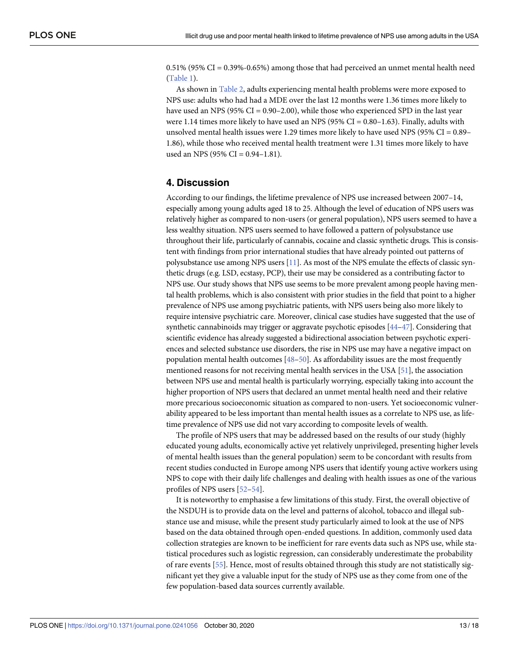<span id="page-12-0"></span>0.51% (95% CI = 0.39%-0.65%) among those that had perceived an unmet mental health need [\(Table](#page-7-0) 1).

As shown in [Table](#page-10-0) 2, adults experiencing mental health problems were more exposed to NPS use: adults who had had a MDE over the last 12 months were 1.36 times more likely to have used an NPS (95% CI = 0.90–2.00), while those who experienced SPD in the last year were 1.14 times more likely to have used an NPS ( $95\%$  CI = 0.80–1.63). Finally, adults with unsolved mental health issues were 1.29 times more likely to have used NPS (95% CI = 0.89– 1.86), while those who received mental health treatment were 1.31 times more likely to have used an NPS (95% CI =  $0.94-1.81$ ).

# **4. Discussion**

According to our findings, the lifetime prevalence of NPS use increased between 2007–14, especially among young adults aged 18 to 25. Although the level of education of NPS users was relatively higher as compared to non-users (or general population), NPS users seemed to have a less wealthy situation. NPS users seemed to have followed a pattern of polysubstance use throughout their life, particularly of cannabis, cocaine and classic synthetic drugs. This is consistent with findings from prior international studies that have already pointed out patterns of polysubstance use among NPS users [[11](#page-14-0)]. As most of the NPS emulate the effects of classic synthetic drugs (e.g. LSD, ecstasy, PCP), their use may be considered as a contributing factor to NPS use. Our study shows that NPS use seems to be more prevalent among people having mental health problems, which is also consistent with prior studies in the field that point to a higher prevalence of NPS use among psychiatric patients, with NPS users being also more likely to require intensive psychiatric care. Moreover, clinical case studies have suggested that the use of synthetic cannabinoids may trigger or aggravate psychotic episodes [\[44–47\]](#page-16-0). Considering that scientific evidence has already suggested a bidirectional association between psychotic experiences and selected substance use disorders, the rise in NPS use may have a negative impact on population mental health outcomes [\[48–50\]](#page-16-0). As affordability issues are the most frequently mentioned reasons for not receiving mental health services in the USA [\[51\]](#page-16-0), the association between NPS use and mental health is particularly worrying, especially taking into account the higher proportion of NPS users that declared an unmet mental health need and their relative more precarious socioeconomic situation as compared to non-users. Yet socioeconomic vulnerability appeared to be less important than mental health issues as a correlate to NPS use, as lifetime prevalence of NPS use did not vary according to composite levels of wealth.

The profile of NPS users that may be addressed based on the results of our study (highly educated young adults, economically active yet relatively unprivileged, presenting higher levels of mental health issues than the general population) seem to be concordant with results from recent studies conducted in Europe among NPS users that identify young active workers using NPS to cope with their daily life challenges and dealing with health issues as one of the various profiles of NPS users [\[52–](#page-16-0)[54](#page-17-0)].

It is noteworthy to emphasise a few limitations of this study. First, the overall objective of the NSDUH is to provide data on the level and patterns of alcohol, tobacco and illegal substance use and misuse, while the present study particularly aimed to look at the use of NPS based on the data obtained through open-ended questions. In addition, commonly used data collection strategies are known to be inefficient for rare events data such as NPS use, while statistical procedures such as logistic regression, can considerably underestimate the probability of rare events [\[55\]](#page-17-0). Hence, most of results obtained through this study are not statistically significant yet they give a valuable input for the study of NPS use as they come from one of the few population-based data sources currently available.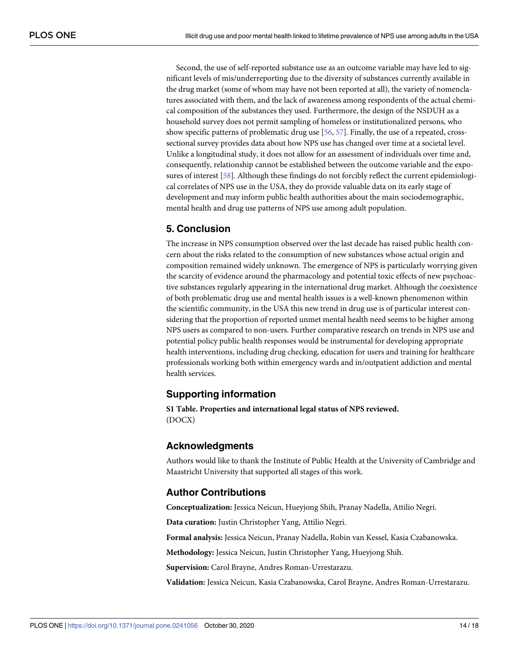<span id="page-13-0"></span>Second, the use of self-reported substance use as an outcome variable may have led to significant levels of mis/underreporting due to the diversity of substances currently available in the drug market (some of whom may have not been reported at all), the variety of nomenclatures associated with them, and the lack of awareness among respondents of the actual chemical composition of the substances they used. Furthermore, the design of the NSDUH as a household survey does not permit sampling of homeless or institutionalized persons, who show specific patterns of problematic drug use [\[56](#page-17-0), [57](#page-17-0)]. Finally, the use of a repeated, crosssectional survey provides data about how NPS use has changed over time at a societal level. Unlike a longitudinal study, it does not allow for an assessment of individuals over time and, consequently, relationship cannot be established between the outcome variable and the exposures of interest [\[58\]](#page-17-0). Although these findings do not forcibly reflect the current epidemiological correlates of NPS use in the USA, they do provide valuable data on its early stage of development and may inform public health authorities about the main sociodemographic, mental health and drug use patterns of NPS use among adult population.

# **5. Conclusion**

The increase in NPS consumption observed over the last decade has raised public health concern about the risks related to the consumption of new substances whose actual origin and composition remained widely unknown. The emergence of NPS is particularly worrying given the scarcity of evidence around the pharmacology and potential toxic effects of new psychoactive substances regularly appearing in the international drug market. Although the coexistence of both problematic drug use and mental health issues is a well-known phenomenon within the scientific community, in the USA this new trend in drug use is of particular interest considering that the proportion of reported unmet mental health need seems to be higher among NPS users as compared to non-users. Further comparative research on trends in NPS use and potential policy public health responses would be instrumental for developing appropriate health interventions, including drug checking, education for users and training for healthcare professionals working both within emergency wards and in/outpatient addiction and mental health services.

# **Supporting information**

**S1 [Table.](http://www.plosone.org/article/fetchSingleRepresentation.action?uri=info:doi/10.1371/journal.pone.0241056.s001) Properties and international legal status of NPS reviewed.** (DOCX)

## **Acknowledgments**

Authors would like to thank the Institute of Public Health at the University of Cambridge and Maastricht University that supported all stages of this work.

# **Author Contributions**

**Conceptualization:** Jessica Neicun, Hueyjong Shih, Pranay Nadella, Attilio Negri.

**Data curation:** Justin Christopher Yang, Attilio Negri.

**Formal analysis:** Jessica Neicun, Pranay Nadella, Robin van Kessel, Kasia Czabanowska.

**Methodology:** Jessica Neicun, Justin Christopher Yang, Hueyjong Shih.

**Supervision:** Carol Brayne, Andres Roman-Urrestarazu.

**Validation:** Jessica Neicun, Kasia Czabanowska, Carol Brayne, Andres Roman-Urrestarazu.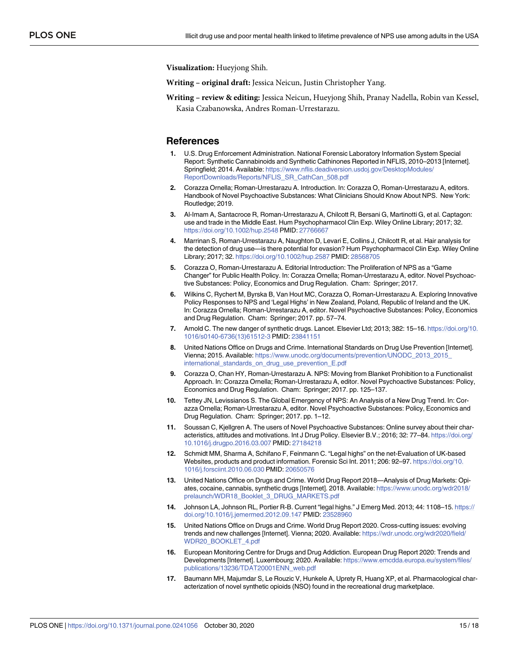<span id="page-14-0"></span>**Visualization:** Hueyjong Shih.

**Writing – original draft:** Jessica Neicun, Justin Christopher Yang.

**Writing – review & editing:** Jessica Neicun, Hueyjong Shih, Pranay Nadella, Robin van Kessel, Kasia Czabanowska, Andres Roman-Urrestarazu.

#### **References**

- **[1](#page-1-0).** U.S. Drug Enforcement Administration. National Forensic Laboratory Information System Special Report: Synthetic Cannabinoids and Synthetic Cathinones Reported in NFLIS, 2010–2013 [Internet]. Springfield; 2014. Available: [https://www.nflis.deadiversion.usdoj.gov/DesktopModules/](https://www.nflis.deadiversion.usdoj.gov/DesktopModules/ReportDownloads/Reports/NFLIS_SR_CathCan_508.pdf) [ReportDownloads/Reports/NFLIS\\_SR\\_CathCan\\_508.pdf](https://www.nflis.deadiversion.usdoj.gov/DesktopModules/ReportDownloads/Reports/NFLIS_SR_CathCan_508.pdf)
- **2.** Corazza Ornella; Roman-Urrestarazu A. Introduction. In: Corazza O, Roman-Urrestarazu A, editors. Handbook of Novel Psychoactive Substances: What Clinicians Should Know About NPS. New York: Routledge; 2019.
- **3.** Al-Imam A, Santacroce R, Roman-Urrestarazu A, Chilcott R, Bersani G, Martinotti G, et al. Captagon: use and trade in the Middle East. Hum Psychopharmacol Clin Exp. Wiley Online Library; 2017; 32. <https://doi.org/10.1002/hup.2548> PMID: [27766667](http://www.ncbi.nlm.nih.gov/pubmed/27766667)
- **4.** Marrinan S, Roman-Urrestarazu A, Naughton D, Levari E, Collins J, Chilcott R, et al. Hair analysis for the detection of drug use—is there potential for evasion? Hum Psychopharmacol Clin Exp. Wiley Online Library; 2017; 32. <https://doi.org/10.1002/hup.2587> PMID: [28568705](http://www.ncbi.nlm.nih.gov/pubmed/28568705)
- **5.** Corazza O, Roman-Urrestarazu A. Editorial Introduction: The Proliferation of NPS as a "Game Changer" for Public Health Policy. In: Corazza Ornella; Roman-Urrestarazu A, editor. Novel Psychoactive Substances: Policy, Economics and Drug Regulation. Cham: Springer; 2017.
- **6.** Wilkins C, Rychert M, Byrska B, Van Hout MC, Corazza O, Roman-Urrestarazu A. Exploring Innovative Policy Responses to NPS and 'Legal Highs' in New Zealand, Poland, Republic of Ireland and the UK. In: Corazza Ornella; Roman-Urrestarazu A, editor. Novel Psychoactive Substances: Policy, Economics and Drug Regulation. Cham: Springer; 2017. pp. 57–74.
- **7.** Arnold C. The new danger of synthetic drugs. Lancet. Elsevier Ltd; 2013; 382: 15–16. [https://doi.org/10.](https://doi.org/10.1016/s0140-6736%2813%2961512-3) [1016/s0140-6736\(13\)61512-3](https://doi.org/10.1016/s0140-6736%2813%2961512-3) PMID: [23841151](http://www.ncbi.nlm.nih.gov/pubmed/23841151)
- **8.** United Nations Office on Drugs and Crime. International Standards on Drug Use Prevention [Internet]. Vienna; 2015. Available: [https://www.unodc.org/documents/prevention/UNODC\\_2013\\_2015\\_](https://www.unodc.org/documents/prevention/UNODC_2013_2015_international_standards_on_drug_use_prevention_E.pdf) [international\\_standards\\_on\\_drug\\_use\\_prevention\\_E.pdf](https://www.unodc.org/documents/prevention/UNODC_2013_2015_international_standards_on_drug_use_prevention_E.pdf)
- **[9](#page-1-0).** Corazza O, Chan HY, Roman-Urrestarazu A. NPS: Moving from Blanket Prohibition to a Functionalist Approach. In: Corazza Ornella; Roman-Urrestarazu A, editor. Novel Psychoactive Substances: Policy, Economics and Drug Regulation. Cham: Springer; 2017. pp. 125–137.
- **[10](#page-1-0).** Tettey JN, Levissianos S. The Global Emergency of NPS: An Analysis of a New Drug Trend. In: Corazza Ornella; Roman-Urrestarazu A, editor. Novel Psychoactive Substances: Policy, Economics and Drug Regulation. Cham: Springer; 2017. pp. 1–12.
- **[11](#page-12-0).** Soussan C, Kjellgren A. The users of Novel Psychoactive Substances: Online survey about their characteristics, attitudes and motivations. Int J Drug Policy. Elsevier B.V.; 2016; 32: 77–84. [https://doi.org/](https://doi.org/10.1016/j.drugpo.2016.03.007) [10.1016/j.drugpo.2016.03.007](https://doi.org/10.1016/j.drugpo.2016.03.007) PMID: [27184218](http://www.ncbi.nlm.nih.gov/pubmed/27184218)
- **12.** Schmidt MM, Sharma A, Schifano F, Feinmann C. "Legal highs" on the net-Evaluation of UK-based Websites, products and product information. Forensic Sci Int. 2011; 206: 92-97. [https://doi.org/10.](https://doi.org/10.1016/j.forsciint.2010.06.030) [1016/j.forsciint.2010.06.030](https://doi.org/10.1016/j.forsciint.2010.06.030) PMID: [20650576](http://www.ncbi.nlm.nih.gov/pubmed/20650576)
- **13.** United Nations Office on Drugs and Crime. World Drug Report 2018—Analysis of Drug Markets: Opiates, cocaine, cannabis, synthetic drugs [Internet]. 2018. Available: [https://www.unodc.org/wdr2018/](https://www.unodc.org/wdr2018/prelaunch/WDR18_Booklet_3_DRUG_MARKETS.pdf) [prelaunch/WDR18\\_Booklet\\_3\\_DRUG\\_MARKETS.pdf](https://www.unodc.org/wdr2018/prelaunch/WDR18_Booklet_3_DRUG_MARKETS.pdf)
- **[14](#page-1-0).** Johnson LA, Johnson RL, Portier R-B. Current "legal highs." J Emerg Med. 2013; 44: 1108–15. [https://](https://doi.org/10.1016/j.jemermed.2012.09.147) [doi.org/10.1016/j.jemermed.2012.09.147](https://doi.org/10.1016/j.jemermed.2012.09.147) PMID: [23528960](http://www.ncbi.nlm.nih.gov/pubmed/23528960)
- **[15](#page-1-0).** United Nations Office on Drugs and Crime. World Drug Report 2020. Cross-cutting issues: evolving trends and new challenges [Internet]. Vienna; 2020. Available: [https://wdr.unodc.org/wdr2020/field/](https://wdr.unodc.org/wdr2020/field/WDR20_BOOKLET_4.pdf) [WDR20\\_BOOKLET\\_4.pdf](https://wdr.unodc.org/wdr2020/field/WDR20_BOOKLET_4.pdf)
- **[16](#page-1-0).** European Monitoring Centre for Drugs and Drug Addiction. European Drug Report 2020: Trends and Developments [Internet]. Luxembourg; 2020. Available: [https://www.emcdda.europa.eu/system/files/](https://www.emcdda.europa.eu/system/files/publications/13236/TDAT20001ENN_web.pdf) [publications/13236/TDAT20001ENN\\_web.pdf](https://www.emcdda.europa.eu/system/files/publications/13236/TDAT20001ENN_web.pdf)
- **[17](#page-1-0).** Baumann MH, Majumdar S, Le Rouzic V, Hunkele A, Uprety R, Huang XP, et al. Pharmacological characterization of novel synthetic opioids (NSO) found in the recreational drug marketplace.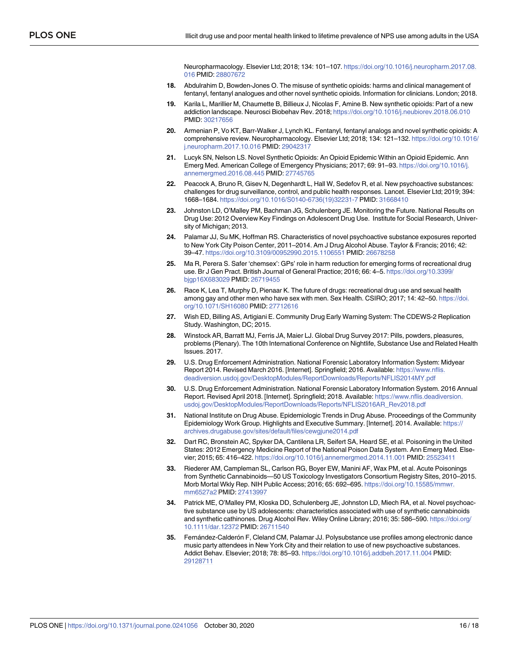Neuropharmacology. Elsevier Ltd; 2018; 134: 101–107. [https://doi.org/10.1016/j.neuropharm.2017.08.](https://doi.org/10.1016/j.neuropharm.2017.08.016) [016](https://doi.org/10.1016/j.neuropharm.2017.08.016) PMID: [28807672](http://www.ncbi.nlm.nih.gov/pubmed/28807672)

- <span id="page-15-0"></span>**18.** Abdulrahim D, Bowden-Jones O. The misuse of synthetic opioids: harms and clinical management of fentanyl, fentanyl analogues and other novel synthetic opioids. Information for clinicians. London; 2018.
- **19.** Karila L, Marillier M, Chaumette B, Billieux J, Nicolas F, Amine B. New synthetic opioids: Part of a new addiction landscape. Neurosci Biobehav Rev. 2018; <https://doi.org/10.1016/j.neubiorev.2018.06.010> PMID: [30217656](http://www.ncbi.nlm.nih.gov/pubmed/30217656)
- **20.** Armenian P, Vo KT, Barr-Walker J, Lynch KL. Fentanyl, fentanyl analogs and novel synthetic opioids: A comprehensive review. Neuropharmacology. Elsevier Ltd; 2018; 134: 121–132. [https://doi.org/10.1016/](https://doi.org/10.1016/j.neuropharm.2017.10.016) [j.neuropharm.2017.10.016](https://doi.org/10.1016/j.neuropharm.2017.10.016) PMID: [29042317](http://www.ncbi.nlm.nih.gov/pubmed/29042317)
- **21.** Lucyk SN, Nelson LS. Novel Synthetic Opioids: An Opioid Epidemic Within an Opioid Epidemic. Ann Emerg Med. American College of Emergency Physicians; 2017; 69: 91–93. [https://doi.org/10.1016/j.](https://doi.org/10.1016/j.annemergmed.2016.08.445) [annemergmed.2016.08.445](https://doi.org/10.1016/j.annemergmed.2016.08.445) PMID: [27745765](http://www.ncbi.nlm.nih.gov/pubmed/27745765)
- **[22](#page-1-0).** Peacock A, Bruno R, Gisev N, Degenhardt L, Hall W, Sedefov R, et al. New psychoactive substances: challenges for drug surveillance, control, and public health responses. Lancet. Elsevier Ltd; 2019; 394: 1668–1684. [https://doi.org/10.1016/S0140-6736\(19\)32231-7](https://doi.org/10.1016/S0140-6736%2819%2932231-7) PMID: [31668410](http://www.ncbi.nlm.nih.gov/pubmed/31668410)
- **[23](#page-1-0).** Johnston LD, O'Malley PM, Bachman JG, Schulenberg JE. Monitoring the Future. National Results on Drug Use: 2012 Overview Key Findings on Adolescent Drug Use. Institute for Social Research, University of Michigan; 2013.
- **24.** Palamar JJ, Su MK, Hoffman RS. Characteristics of novel psychoactive substance exposures reported to New York City Poison Center, 2011–2014. Am J Drug Alcohol Abuse. Taylor & Francis; 2016; 42: 39–47. <https://doi.org/10.3109/00952990.2015.1106551> PMID: [26678258](http://www.ncbi.nlm.nih.gov/pubmed/26678258)
- **25.** Ma R, Perera S. Safer 'chemsex': GPs' role in harm reduction for emerging forms of recreational drug use. Br J Gen Pract. British Journal of General Practice; 2016; 66: 4–5. [https://doi.org/10.3399/](https://doi.org/10.3399/bjgp16X683029) [bjgp16X683029](https://doi.org/10.3399/bjgp16X683029) PMID: [26719455](http://www.ncbi.nlm.nih.gov/pubmed/26719455)
- **26.** Race K, Lea T, Murphy D, Pienaar K. The future of drugs: recreational drug use and sexual health among gay and other men who have sex with men. Sex Health. CSIRO; 2017; 14: 42–50. [https://doi.](https://doi.org/10.1071/SH16080) [org/10.1071/SH16080](https://doi.org/10.1071/SH16080) PMID: [27712616](http://www.ncbi.nlm.nih.gov/pubmed/27712616)
- **27.** Wish ED, Billing AS, Artigiani E. Community Drug Early Warning System: The CDEWS-2 Replication Study. Washington, DC; 2015.
- **28.** Winstock AR, Barratt MJ, Ferris JA, Maier LJ. Global Drug Survey 2017: Pills, powders, pleasures, problems (Plenary). The 10th International Conference on Nightlife, Substance Use and Related Health Issues. 2017.
- **29.** U.S. Drug Enforcement Administration. National Forensic Laboratory Information System: Midyear Report 2014. Revised March 2016. [Internet]. Springfield; 2016. Available: [https://www.nflis.](https://www.nflis.deadiversion.usdoj.gov/DesktopModules/ReportDownloads/Reports/NFLIS2014MY.pdf) [deadiversion.usdoj.gov/DesktopModules/ReportDownloads/Reports/NFLIS2014MY.pdf](https://www.nflis.deadiversion.usdoj.gov/DesktopModules/ReportDownloads/Reports/NFLIS2014MY.pdf)
- **30.** U.S. Drug Enforcement Administration. National Forensic Laboratory Information System. 2016 Annual Report. Revised April 2018. [Internet]. Springfield; 2018. Available: [https://www.nflis.deadiversion.](https://www.nflis.deadiversion.usdoj.gov/DesktopModules/ReportDownloads/Reports/NFLIS2016AR_Rev2018.pdf) [usdoj.gov/DesktopModules/ReportDownloads/Reports/NFLIS2016AR\\_Rev2018.pdf](https://www.nflis.deadiversion.usdoj.gov/DesktopModules/ReportDownloads/Reports/NFLIS2016AR_Rev2018.pdf)
- **31.** National Institute on Drug Abuse. Epidemiologic Trends in Drug Abuse. Proceedings of the Community Epidemiology Work Group. Highlights and Executive Summary. [Internet]. 2014. Available: [https://](https://archives.drugabuse.gov/sites/default/files/cewgjune2014.pdf) [archives.drugabuse.gov/sites/default/files/cewgjune2014.pdf](https://archives.drugabuse.gov/sites/default/files/cewgjune2014.pdf)
- **32.** Dart RC, Bronstein AC, Spyker DA, Cantilena LR, Seifert SA, Heard SE, et al. Poisoning in the United States: 2012 Emergency Medicine Report of the National Poison Data System. Ann Emerg Med. Elsevier; 2015; 65: 416–422. <https://doi.org/10.1016/j.annemergmed.2014.11.001> PMID: [25523411](http://www.ncbi.nlm.nih.gov/pubmed/25523411)
- **33.** Riederer AM, Campleman SL, Carlson RG, Boyer EW, Manini AF, Wax PM, et al. Acute Poisonings from Synthetic Cannabinoids—50 US Toxicology Investigators Consortium Registry Sites, 2010–2015. Morb Mortal Wkly Rep. NIH Public Access; 2016; 65: 692–695. [https://doi.org/10.15585/mmwr.](https://doi.org/10.15585/mmwr.mm6527a2) [mm6527a2](https://doi.org/10.15585/mmwr.mm6527a2) PMID: [27413997](http://www.ncbi.nlm.nih.gov/pubmed/27413997)
- **34.** Patrick ME, O'Malley PM, Kloska DD, Schulenberg JE, Johnston LD, Miech RA, et al. Novel psychoactive substance use by US adolescents: characteristics associated with use of synthetic cannabinoids and synthetic cathinones. Drug Alcohol Rev. Wiley Online Library; 2016; 35: 586–590. [https://doi.org/](https://doi.org/10.1111/dar.12372) [10.1111/dar.12372](https://doi.org/10.1111/dar.12372) PMID: [26711540](http://www.ncbi.nlm.nih.gov/pubmed/26711540)
- **35.** Fernández-Calderón F, Cleland CM, Palamar JJ. Polysubstance use profiles among electronic dance music party attendees in New York City and their relation to use of new psychoactive substances. Addict Behav. Elsevier; 2018; 78: 85–93. <https://doi.org/10.1016/j.addbeh.2017.11.004> PMID: [29128711](http://www.ncbi.nlm.nih.gov/pubmed/29128711)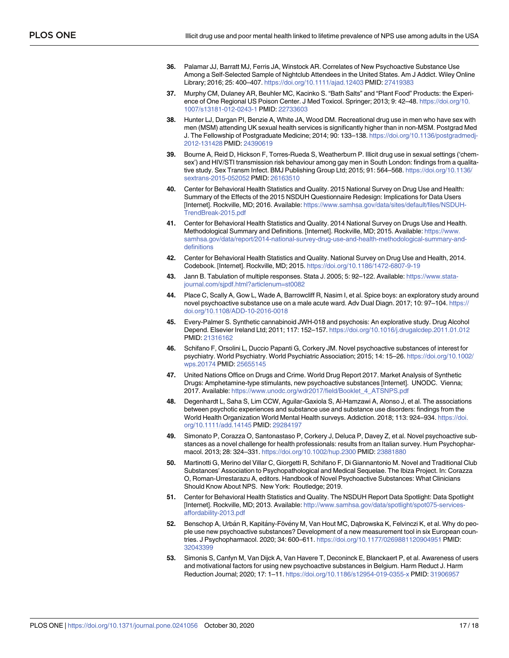- <span id="page-16-0"></span>**36.** Palamar JJ, Barratt MJ, Ferris JA, Winstock AR. Correlates of New Psychoactive Substance Use Among a Self-Selected Sample of Nightclub Attendees in the United States. Am J Addict. Wiley Online Library; 2016; 25: 400–407. <https://doi.org/10.1111/ajad.12403> PMID: [27419383](http://www.ncbi.nlm.nih.gov/pubmed/27419383)
- **37.** Murphy CM, Dulaney AR, Beuhler MC, Kacinko S. "Bath Salts" and "Plant Food" Products: the Experience of One Regional US Poison Center. J Med Toxicol. Springer; 2013; 9: 42–48. [https://doi.org/10.](https://doi.org/10.1007/s13181-012-0243-1) [1007/s13181-012-0243-1](https://doi.org/10.1007/s13181-012-0243-1) PMID: [22733603](http://www.ncbi.nlm.nih.gov/pubmed/22733603)
- **38.** Hunter LJ, Dargan PI, Benzie A, White JA, Wood DM. Recreational drug use in men who have sex with men (MSM) attending UK sexual health services is significantly higher than in non-MSM. Postgrad Med J. The Fellowship of Postgraduate Medicine; 2014; 90: 133–138. [https://doi.org/10.1136/postgradmedj-](https://doi.org/10.1136/postgradmedj-2012-131428)[2012-131428](https://doi.org/10.1136/postgradmedj-2012-131428) PMID: [24390619](http://www.ncbi.nlm.nih.gov/pubmed/24390619)
- **[39](#page-1-0).** Bourne A, Reid D, Hickson F, Torres-Rueda S, Weatherburn P. Illicit drug use in sexual settings ('chemsex') and HIV/STI transmission risk behaviour among gay men in South London: findings from a qualitative study. Sex Transm Infect. BMJ Publishing Group Ltd; 2015; 91: 564–568. [https://doi.org/10.1136/](https://doi.org/10.1136/sextrans-2015-052052) [sextrans-2015-052052](https://doi.org/10.1136/sextrans-2015-052052) PMID: [26163510](http://www.ncbi.nlm.nih.gov/pubmed/26163510)
- **[40](#page-2-0).** Center for Behavioral Health Statistics and Quality. 2015 National Survey on Drug Use and Health: Summary of the Effects of the 2015 NSDUH Questionnaire Redesign: Implications for Data Users [Internet]. Rockville, MD; 2016. Available: [https://www.samhsa.gov/data/sites/default/files/NSDUH-](https://www.samhsa.gov/data/sites/default/files/NSDUH-TrendBreak-2015.pdf)[TrendBreak-2015.pdf](https://www.samhsa.gov/data/sites/default/files/NSDUH-TrendBreak-2015.pdf)
- **[41](#page-2-0).** Center for Behavioral Health Statistics and Quality. 2014 National Survey on Drugs Use and Health. Methodological Summary and Definitions. [Internet]. Rockville, MD; 2015. Available: [https://www.](https://www.samhsa.gov/data/report/2014-national-survey-drug-use-and-health-methodological-summary-and-definitions) [samhsa.gov/data/report/2014-national-survey-drug-use-and-health-methodological-summary-and](https://www.samhsa.gov/data/report/2014-national-survey-drug-use-and-health-methodological-summary-and-definitions)[definitions](https://www.samhsa.gov/data/report/2014-national-survey-drug-use-and-health-methodological-summary-and-definitions)
- **[42](#page-3-0).** Center for Behavioral Health Statistics and Quality. National Survey on Drug Use and Health, 2014. Codebook. [Internet]. Rockville, MD; 2015. <https://doi.org/10.1186/1472-6807-9-19>
- **[43](#page-4-0).** Jann B. Tabulation of multiple responses. Stata J. 2005; 5: 92–122. Available: [https://www.stata](https://www.stata-journal.com/sjpdf.html?articlenum=st0082)[journal.com/sjpdf.html?articlenum=st0082](https://www.stata-journal.com/sjpdf.html?articlenum=st0082)
- **[44](#page-12-0).** Place C, Scally A, Gow L, Wade A, Barrowcliff R, Nasim I, et al. Spice boys: an exploratory study around novel psychoactive substance use on a male acute ward. Adv Dual Diagn. 2017; 10: 97–104. [https://](https://doi.org/10.1108/ADD-10-2016-0018) [doi.org/10.1108/ADD-10-2016-0018](https://doi.org/10.1108/ADD-10-2016-0018)
- **45.** Every-Palmer S. Synthetic cannabinoid JWH-018 and psychosis: An explorative study. Drug Alcohol Depend. Elsevier Ireland Ltd; 2011; 117: 152–157. <https://doi.org/10.1016/j.drugalcdep.2011.01.012> PMID: [21316162](http://www.ncbi.nlm.nih.gov/pubmed/21316162)
- **46.** Schifano F, Orsolini L, Duccio Papanti G, Corkery JM. Novel psychoactive substances of interest for psychiatry. World Psychiatry. World Psychiatric Association; 2015; 14: 15–26. [https://doi.org/10.1002/](https://doi.org/10.1002/wps.20174) [wps.20174](https://doi.org/10.1002/wps.20174) PMID: [25655145](http://www.ncbi.nlm.nih.gov/pubmed/25655145)
- **[47](#page-12-0).** United Nations Office on Drugs and Crime. World Drug Report 2017. Market Analysis of Synthetic Drugs: Amphetamine-type stimulants, new psychoactive substances [Internet]. UNODC. Vienna; 2017. Available: [https://www.unodc.org/wdr2017/field/Booklet\\_4\\_ATSNPS.pdf](https://www.unodc.org/wdr2017/field/Booklet_4_ATSNPS.pdf)
- **[48](#page-12-0).** Degenhardt L, Saha S, Lim CCW, Aguilar-Gaxiola S, Al-Hamzawi A, Alonso J, et al. The associations between psychotic experiences and substance use and substance use disorders: findings from the World Health Organization World Mental Health surveys. Addiction. 2018; 113: 924–934. [https://doi.](https://doi.org/10.1111/add.14145) [org/10.1111/add.14145](https://doi.org/10.1111/add.14145) PMID: [29284197](http://www.ncbi.nlm.nih.gov/pubmed/29284197)
- **49.** Simonato P, Corazza O, Santonastaso P, Corkery J, Deluca P, Davey Z, et al. Novel psychoactive substances as a novel challenge for health professionals: results from an Italian survey. Hum Psychopharmacol. 2013; 28: 324–331. <https://doi.org/10.1002/hup.2300> PMID: [23881880](http://www.ncbi.nlm.nih.gov/pubmed/23881880)
- **[50](#page-12-0).** Martinotti G, Merino del Villar C, Giorgetti R, Schifano F, Di Giannantonio M. Novel and Traditional Club Substances' Association to Psychopathological and Medical Sequelae. The Ibiza Project. In: Corazza O, Roman-Urrestarazu A, editors. Handbook of Novel Psychoactive Substances: What Clinicians Should Know About NPS. New York: Routledge; 2019.
- **[51](#page-12-0).** Center for Behavioral Health Statistics and Quality. The NSDUH Report Data Spotlight: Data Spotlight [Internet]. Rockville, MD; 2013. Available: [http://www.samhsa.gov/data/spotlight/spot075-services](http://www.samhsa.gov/data/spotlight/spot075-services-affordability-2013.pdf)[affordability-2013.pdf](http://www.samhsa.gov/data/spotlight/spot075-services-affordability-2013.pdf)
- **[52](#page-12-0).** Benschop A, Urbán R, Kapitány-Fövény M, Van Hout MC, Dąbrowska K, Felvinczi K, et al. Why do people use new psychoactive substances? Development of a new measurement tool in six European countries. J Psychopharmacol. 2020; 34: 600–611. <https://doi.org/10.1177/0269881120904951> PMID: [32043399](http://www.ncbi.nlm.nih.gov/pubmed/32043399)
- **53.** Simonis S, Canfyn M, Van Dijck A, Van Havere T, Deconinck E, Blanckaert P, et al. Awareness of users and motivational factors for using new psychoactive substances in Belgium. Harm Reduct J. Harm Reduction Journal; 2020; 17: 1–11. <https://doi.org/10.1186/s12954-019-0355-x> PMID: [31906957](http://www.ncbi.nlm.nih.gov/pubmed/31906957)